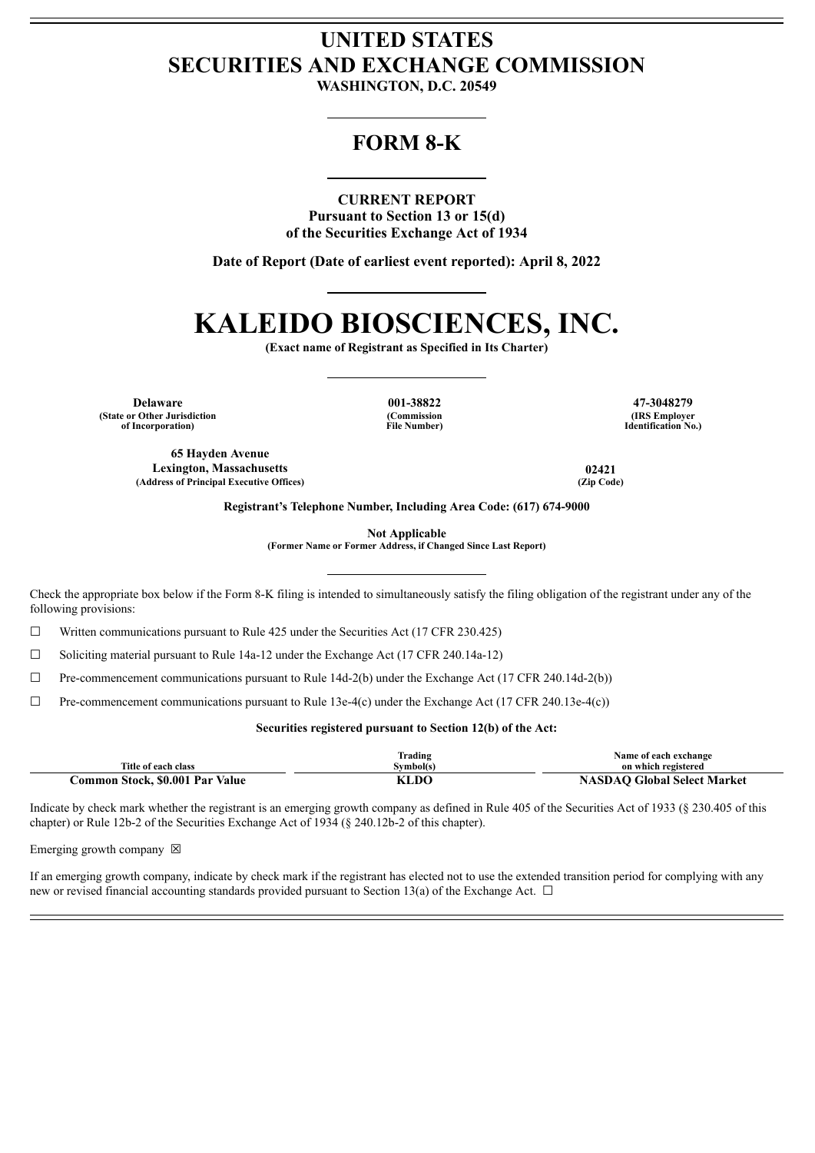## **UNITED STATES SECURITIES AND EXCHANGE COMMISSION**

**WASHINGTON, D.C. 20549**

### **FORM 8-K**

#### **CURRENT REPORT**

**Pursuant to Section 13 or 15(d) of the Securities Exchange Act of 1934**

**Date of Report (Date of earliest event reported): April 8, 2022**

# **KALEIDO BIOSCIENCES, INC.**

**(Exact name of Registrant as Specified in Its Charter)**

**Delaware 001-38822 47-3048279 (State or Other Jurisdiction of Incorporation)**

**(Commission File Number)**

**(IRS Employer Identification No.)**

**65 Hayden Avenue Lexington, Massachusetts 02421 (Address of Principal Executive Offices) (Zip Code)**

**Registrant's Telephone Number, Including Area Code: (617) 674-9000**

**Not Applicable**

**(Former Name or Former Address, if Changed Since Last Report)**

Check the appropriate box below if the Form 8-K filing is intended to simultaneously satisfy the filing obligation of the registrant under any of the following provisions:

 $\Box$  Written communications pursuant to Rule 425 under the Securities Act (17 CFR 230.425)

☐ Soliciting material pursuant to Rule 14a-12 under the Exchange Act (17 CFR 240.14a-12)

 $\Box$  Pre-commencement communications pursuant to Rule 14d-2(b) under the Exchange Act (17 CFR 240.14d-2(b))

 $\Box$  Pre-commencement communications pursuant to Rule 13e-4(c) under the Exchange Act (17 CFR 240.13e-4(c))

#### **Securities registered pursuant to Section 12(b) of the Act:**

|                                 | lrading   | Name of each exchange              |
|---------------------------------|-----------|------------------------------------|
| Title of each class             | Symbol(s) | on which registered                |
| Common Stock, \$0.001 Par Value | KLDO      | <b>NASDAO Global Select Market</b> |

Indicate by check mark whether the registrant is an emerging growth company as defined in Rule 405 of the Securities Act of 1933 (§ 230.405 of this chapter) or Rule 12b-2 of the Securities Exchange Act of 1934 (§ 240.12b-2 of this chapter).

Emerging growth company  $\boxtimes$ 

If an emerging growth company, indicate by check mark if the registrant has elected not to use the extended transition period for complying with any new or revised financial accounting standards provided pursuant to Section 13(a) of the Exchange Act.  $\Box$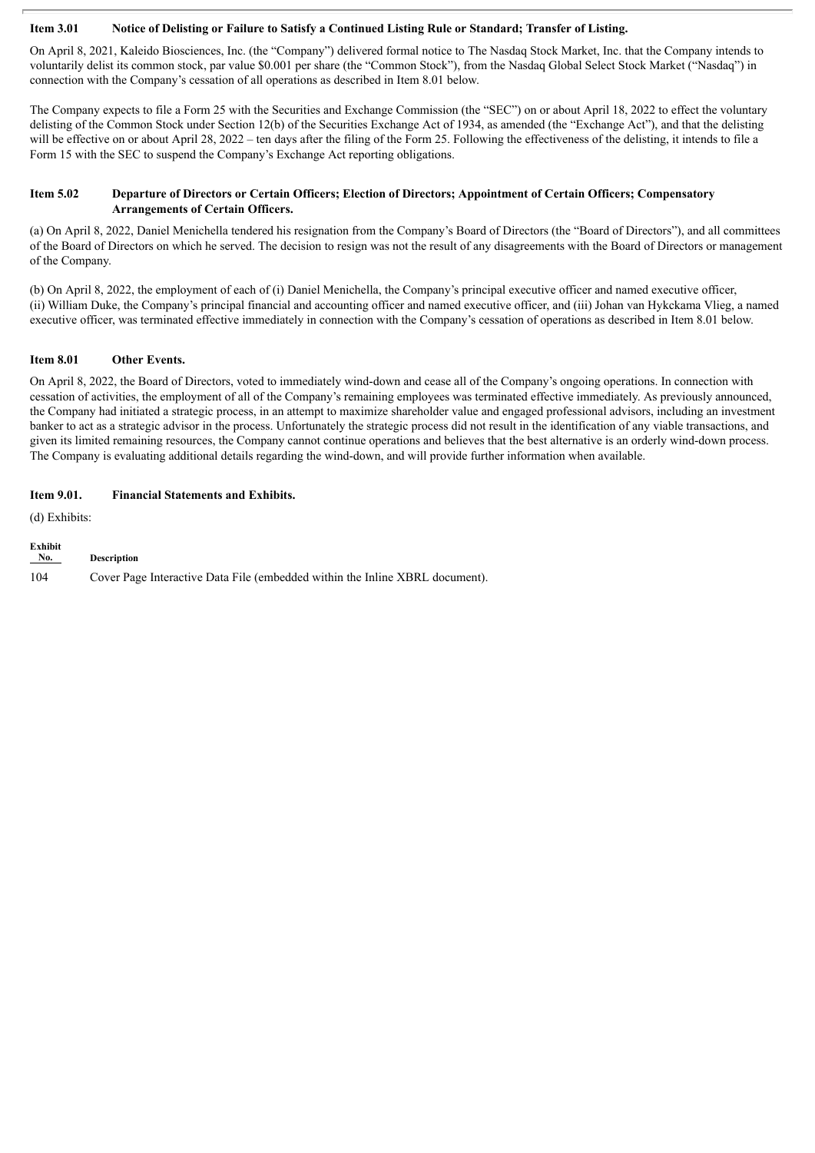#### Item 3.01 Notice of Delisting or Failure to Satisfy a Continued Listing Rule or Standard; Transfer of Listing.

On April 8, 2021, Kaleido Biosciences, Inc. (the "Company") delivered formal notice to The Nasdaq Stock Market, Inc. that the Company intends to voluntarily delist its common stock, par value \$0.001 per share (the "Common Stock"), from the Nasdaq Global Select Stock Market ("Nasdaq") in connection with the Company's cessation of all operations as described in Item 8.01 below.

The Company expects to file a Form 25 with the Securities and Exchange Commission (the "SEC") on or about April 18, 2022 to effect the voluntary delisting of the Common Stock under Section 12(b) of the Securities Exchange Act of 1934, as amended (the "Exchange Act"), and that the delisting will be effective on or about April 28, 2022 – ten days after the filing of the Form 25. Following the effectiveness of the delisting, it intends to file a Form 15 with the SEC to suspend the Company's Exchange Act reporting obligations.

#### Item 5.02 Departure of Directors or Certain Officers; Election of Directors; Appointment of Certain Officers; Compensatory **Arrangements of Certain Officers.**

(a) On April 8, 2022, Daniel Menichella tendered his resignation from the Company's Board of Directors (the "Board of Directors"), and all committees of the Board of Directors on which he served. The decision to resign was not the result of any disagreements with the Board of Directors or management of the Company.

(b) On April 8, 2022, the employment of each of (i) Daniel Menichella, the Company's principal executive officer and named executive officer, (ii) William Duke, the Company's principal financial and accounting officer and named executive officer, and (iii) Johan van Hykckama Vlieg, a named executive officer, was terminated effective immediately in connection with the Company's cessation of operations as described in Item 8.01 below.

#### **Item 8.01 Other Events.**

On April 8, 2022, the Board of Directors, voted to immediately wind-down and cease all of the Company's ongoing operations. In connection with cessation of activities, the employment of all of the Company's remaining employees was terminated effective immediately. As previously announced, the Company had initiated a strategic process, in an attempt to maximize shareholder value and engaged professional advisors, including an investment banker to act as a strategic advisor in the process. Unfortunately the strategic process did not result in the identification of any viable transactions, and given its limited remaining resources, the Company cannot continue operations and believes that the best alternative is an orderly wind-down process. The Company is evaluating additional details regarding the wind-down, and will provide further information when available.

#### **Item 9.01. Financial Statements and Exhibits.**

(d) Exhibits:

| <b>Exhibit</b><br>No. | <b>Description</b>                                                           |
|-----------------------|------------------------------------------------------------------------------|
| 104                   | Cover Page Interactive Data File (embedded within the Inline XBRL document). |